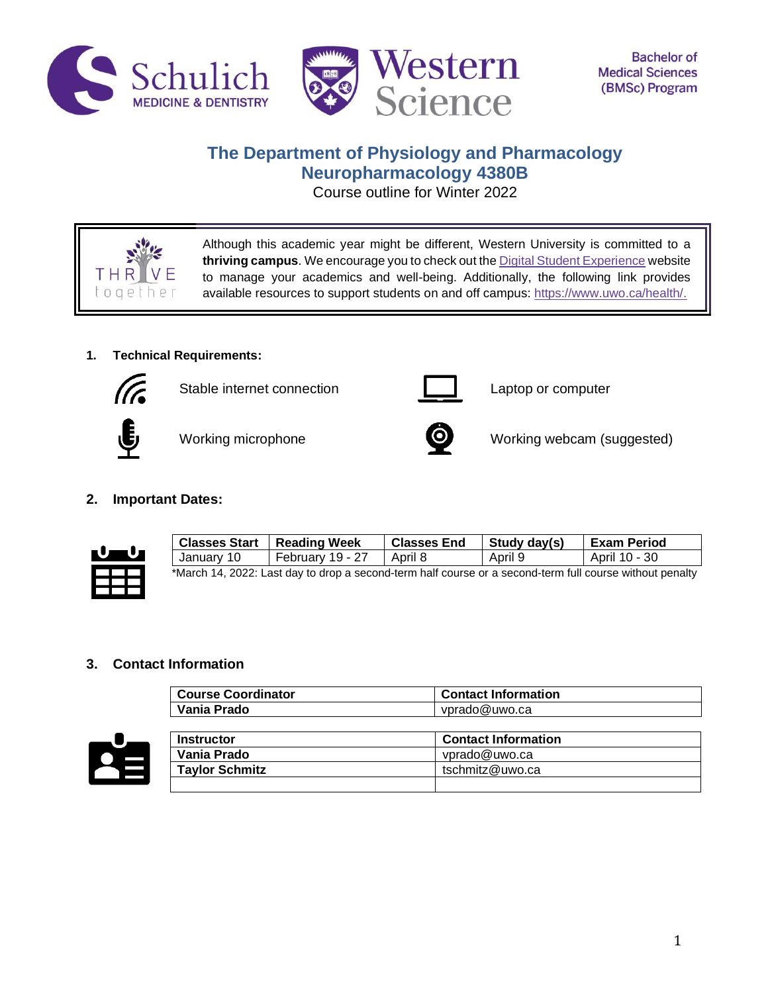



# **The Department of Physiology and Pharmacology Neuropharmacology 4380B**

Course outline for Winter 2022



Although this academic year might be different, Western University is committed to a **thriving campus**. We encourage you to check out th[e Digital Student Experience](https://www.uwo.ca/se/digital/) website to manage your academics and well-being. Additionally, the following link provides available resources to support students on and off campus: [https://www.uwo.ca/health/.](https://www.uwo.ca/health/)

# **1. Technical Requirements:**



Stable internet connection **Laptop** computer







Working microphone **D** Working webcam (suggested)

# **2. Important Dates:**



| <b>Classes Start</b>                                                                                     | <b>Reading Week</b> | <b>Classes End</b> | Study day(s) | <b>Exam Period</b> |  |  |
|----------------------------------------------------------------------------------------------------------|---------------------|--------------------|--------------|--------------------|--|--|
| January 10                                                                                               | February 19 - 27    | April 8            | April 9      | April 10 - 30      |  |  |
| *March 14, 2022: Last day to drop a second-term half course or a second-term full course without penalty |                     |                    |              |                    |  |  |

# **3. Contact Information**

| <b>Course Coordinator</b> | <b>Contact Information</b> |
|---------------------------|----------------------------|
| Vania Prado               | vprado@uwo.ca              |



| <b>Instructor</b>     | <b>Contact Information</b> |
|-----------------------|----------------------------|
| Vania Prado           | vprado@uwo.ca              |
| <b>Taylor Schmitz</b> | tschmitz@uwo.ca            |
|                       |                            |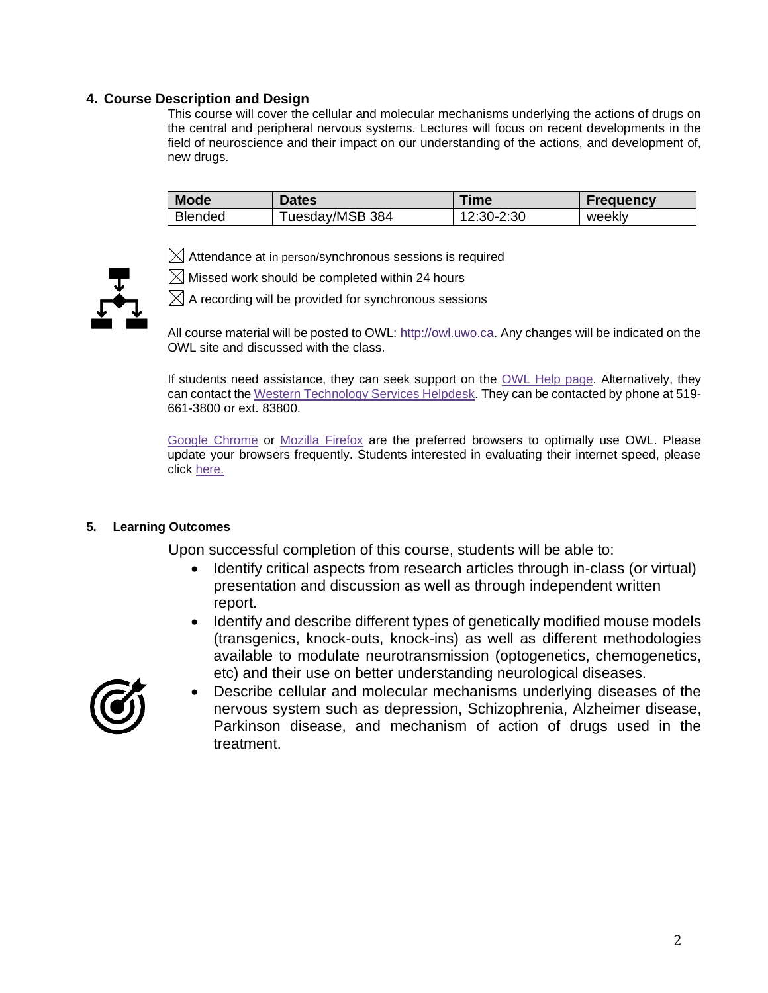# **4. Course Description and Design**

This course will cover the cellular and molecular mechanisms underlying the actions of drugs on the central and peripheral nervous systems. Lectures will focus on recent developments in the field of neuroscience and their impact on our understanding of the actions, and development of, new drugs.

| <b>Mode</b>    | <b>Dates</b>    | <b>Fime</b> | <b>Frequency</b> |
|----------------|-----------------|-------------|------------------|
| <b>Blended</b> | Tuesday/MSB 384 | 12:30-2:30  | weekly           |

 $\boxtimes$  Attendance at in person/synchronous sessions is required

 $\boxtimes$  Missed work should be completed within 24 hours



 $\boxtimes$  A recording will be provided for synchronous sessions

All course material will be posted to OWL: http://owl.uwo.ca. Any changes will be indicated on the OWL site and discussed with the class.

If students need assistance, they can seek support on the [OWL Help page.](https://owlhelp.uwo.ca/students/index.html) Alternatively, they can contact the [Western Technology Services Helpdesk.](https://wts.uwo.ca/helpdesk/) They can be contacted by phone at 519- 661-3800 or ext. 83800.

[Google Chrome](https://www.google.ca/chrome/?brand=CHBD&gclid=CjwKCAjwxLH3BRApEiwAqX9arfg8JaH6fWGASk9bHTkfW_dyBir93A1-TliP-7u1Kguf-WZsoGAPhBoC9NYQAvD_BwE&gclsrc=aw.ds) or [Mozilla Firefox](https://www.mozilla.org/en-CA/) are the preferred browsers to optimally use OWL. Please update your browsers frequently. Students interested in evaluating their internet speed, please click [here.](https://www.google.com/search?q=internet+speed+test+google&rlz=1C5CHFA_enCA702CA702&oq=internet+speed+test+google&aqs=chrome..69i57j0l7.3608j0j4&sourceid=chrome&ie=UTF-8)

### **5. Learning Outcomes**

Upon successful completion of this course, students will be able to:

- Identify critical aspects from research articles through in-class (or virtual) presentation and discussion as well as through independent written report.
- Identify and describe different types of genetically modified mouse models (transgenics, knock-outs, knock-ins) as well as different methodologies available to modulate neurotransmission (optogenetics, chemogenetics, etc) and their use on better understanding neurological diseases.



• Describe cellular and molecular mechanisms underlying diseases of the nervous system such as depression, Schizophrenia, Alzheimer disease, Parkinson disease, and mechanism of action of drugs used in the treatment.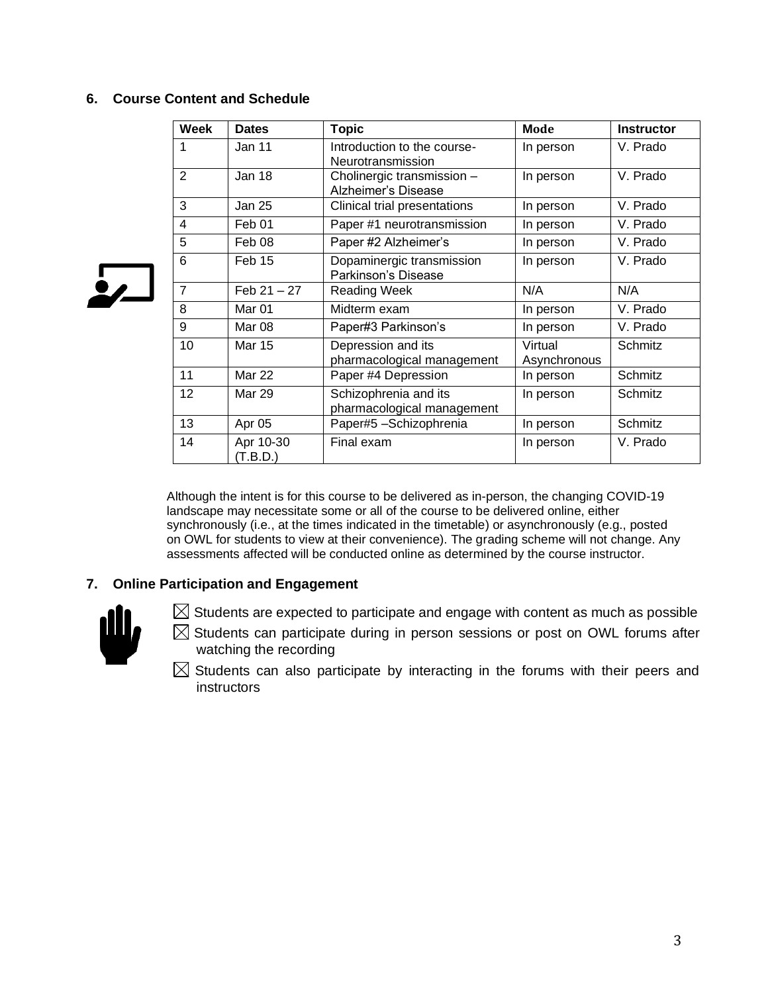# **6. Course Content and Schedule**

| Week           | <b>Dates</b>          | <b>Topic</b>                                        | <b>Mode</b>             | <b>Instructor</b> |
|----------------|-----------------------|-----------------------------------------------------|-------------------------|-------------------|
| 1              | Jan 11                | Introduction to the course-<br>Neurotransmission    | In person               | V. Prado          |
| $\overline{2}$ | Jan 18                | Cholinergic transmission -<br>Alzheimer's Disease   | In person               | V. Prado          |
| 3              | Jan 25                | Clinical trial presentations                        | In person               | V. Prado          |
| 4              | Feb 01                | Paper #1 neurotransmission                          | In person               | V. Prado          |
| 5              | Feb 08                | Paper #2 Alzheimer's                                | In person               | V. Prado          |
| 6              | Feb 15                | Dopaminergic transmission<br>Parkinson's Disease    | In person               | V. Prado          |
| $\overline{7}$ | Feb $21 - 27$         | Reading Week                                        | N/A                     | N/A               |
| 8              | Mar 01                | Midterm exam                                        | In person               | V. Prado          |
| 9              | Mar 08                | Paper#3 Parkinson's                                 | In person               | V. Prado          |
| 10             | Mar 15                | Depression and its<br>pharmacological management    | Virtual<br>Asynchronous | Schmitz           |
| 11             | <b>Mar 22</b>         | Paper #4 Depression                                 | In person               | Schmitz           |
| 12             | Mar 29                | Schizophrenia and its<br>pharmacological management | In person               | Schmitz           |
| 13             | Apr 05                | Paper#5-Schizophrenia                               | In person               | Schmitz           |
| 14             | Apr 10-30<br>(T.B.D.) | Final exam                                          | In person               | V. Prado          |

Although the intent is for this course to be delivered as in-person, the changing COVID-19 landscape may necessitate some or all of the course to be delivered online, either synchronously (i.e., at the times indicated in the timetable) or asynchronously (e.g., posted on OWL for students to view at their convenience). The grading scheme will not change. Any assessments affected will be conducted online as determined by the course instructor.

# **7. Online Participation and Engagement**



 $\frac{1}{2}$ 

- $\boxtimes$  Students are expected to participate and engage with content as much as possible
- $\boxtimes$  Students can participate during in person sessions or post on OWL forums after watching the recording
- $\boxtimes$  Students can also participate by interacting in the forums with their peers and instructors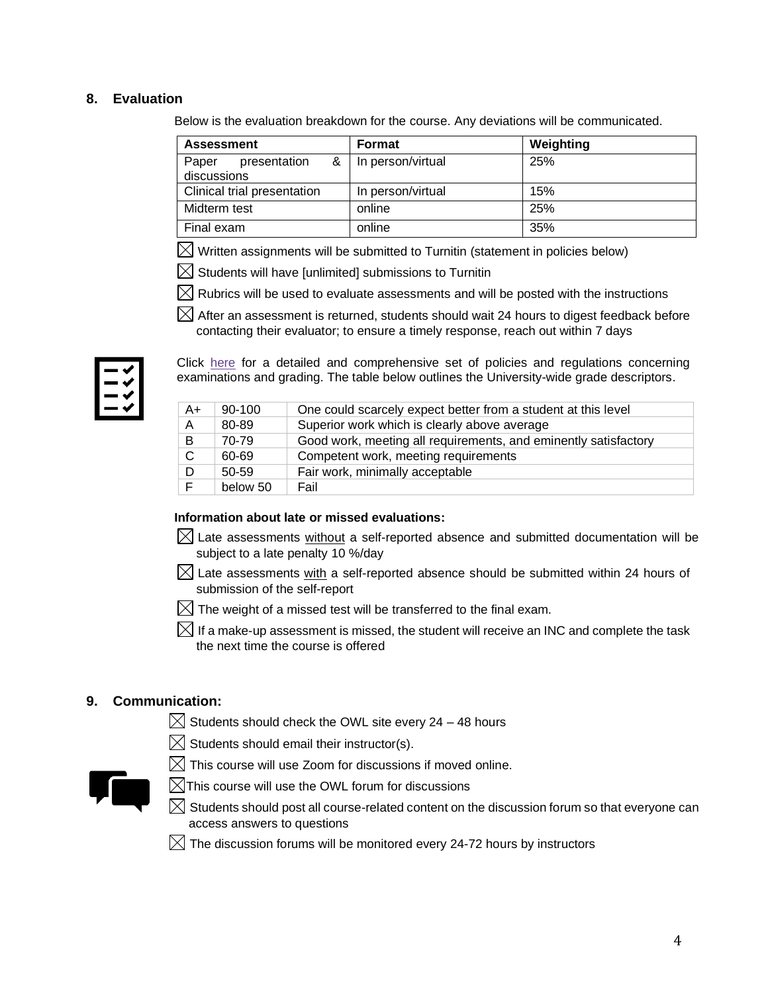# **8. Evaluation**

Below is the evaluation breakdown for the course. Any deviations will be communicated.

| <b>Assessment</b>                    |  |        | Format                | Weighting |
|--------------------------------------|--|--------|-----------------------|-----------|
| Paper<br>presentation<br>discussions |  |        | &   In person/virtual | 25%       |
| Clinical trial presentation          |  |        | In person/virtual     | 15%       |
| Midterm test                         |  | online | 25%                   |           |
| Final exam                           |  |        | online                | 35%       |

 $\boxtimes$  Written assignments will be submitted to Turnitin (statement in policies below)

 $\boxtimes$  Students will have [unlimited] submissions to Turnitin

 $\boxtimes$  Rubrics will be used to evaluate assessments and will be posted with the instructions

 $\boxtimes$  After an assessment is returned, students should wait 24 hours to digest feedback before contacting their evaluator; to ensure a timely response, reach out within 7 days

| - |  |
|---|--|
|   |  |
|   |  |
|   |  |

Click [here](https://www.westerncalendar.uwo.ca/PolicyPages.cfm?Command=showCategory&PolicyCategoryID=5&SelectedCalendar=Live&ArchiveID=#SubHeading_73) for a detailed and comprehensive set of policies and regulations concerning examinations and grading. The table below outlines the University-wide grade descriptors.

| A+ | 90-100   | One could scarcely expect better from a student at this level   |
|----|----------|-----------------------------------------------------------------|
| A  | 80-89    | Superior work which is clearly above average                    |
| B  | 70-79    | Good work, meeting all requirements, and eminently satisfactory |
| C. | 60-69    | Competent work, meeting requirements                            |
| D. | 50-59    | Fair work, minimally acceptable                                 |
|    | below 50 | Fail                                                            |

### **Information about late or missed evaluations:**

- $\boxtimes$  Late assessments without a self-reported absence and submitted documentation will be subject to a late penalty 10 %/day
- $\boxtimes$  Late assessments with a self-reported absence should be submitted within 24 hours of submission of the self-report
- $\boxtimes$  The weight of a missed test will be transferred to the final exam.
- $\boxtimes$  If a make-up assessment is missed, the student will receive an INC and complete the task the next time the course is offered

# **9. Communication:**

- $\boxtimes$  Students should check the OWL site every 24 48 hours
- $\boxtimes$  Students should email their instructor(s).





- $\boxtimes$ This course will use the OWL forum for discussions
- $\boxtimes$  Students should post all course-related content on the discussion forum so that everyone can access answers to questions
- $\boxtimes$  The discussion forums will be monitored every 24-72 hours by instructors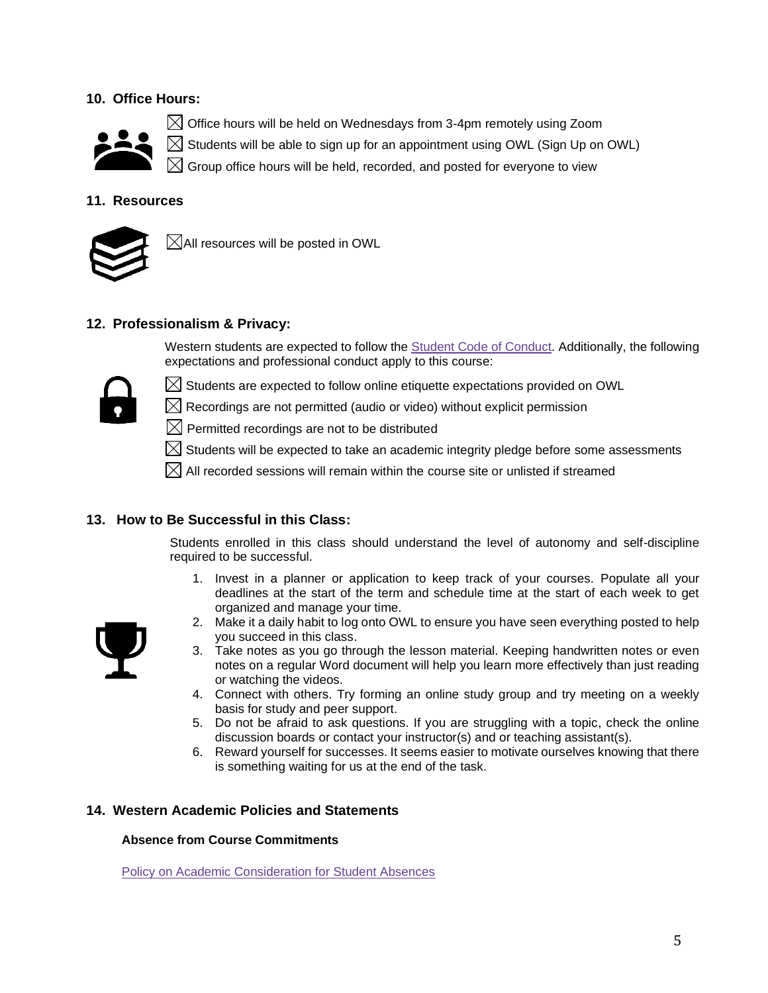# **10. Office Hours:**



 $\boxtimes$  Office hours will be held on Wednesdays from 3-4pm remotely using Zoom Students will be able to sign up for an appointment using OWL (Sign Up on OWL) Group office hours will be held, recorded, and posted for everyone to view

# **11. Resources**



 $\boxtimes$ All resources will be posted in OWL

# **12. Professionalism & Privacy:**

Western students are expected to follow the [Student Code of Conduct.](https://www.uwo.ca/univsec/pdf/board/code.pdf) Additionally, the following expectations and professional conduct apply to this course:



- $\boxtimes$  Students are expected to follow online etiquette expectations provided on OWL
- $\boxtimes$  Recordings are not permitted (audio or video) without explicit permission
- $\boxtimes$  Permitted recordings are not to be distributed
- $\boxtimes$  Students will be expected to take an academic integrity pledge before some assessments
- $\boxtimes$  All recorded sessions will remain within the course site or unlisted if streamed

### **13. How to Be Successful in this Class:**

Students enrolled in this class should understand the level of autonomy and self-discipline required to be successful.

1. Invest in a planner or application to keep track of your courses. Populate all your deadlines at the start of the term and schedule time at the start of each week to get organized and manage your time.



- 2. Make it a daily habit to log onto OWL to ensure you have seen everything posted to help you succeed in this class.
- 3. Take notes as you go through the lesson material. Keeping handwritten notes or even notes on a regular Word document will help you learn more effectively than just reading or watching the videos.
- 4. Connect with others. Try forming an online study group and try meeting on a weekly basis for study and peer support.
- 5. Do not be afraid to ask questions. If you are struggling with a topic, check the online discussion boards or contact your instructor(s) and or teaching assistant(s).
- 6. Reward yourself for successes. It seems easier to motivate ourselves knowing that there is something waiting for us at the end of the task.

### **14. Western Academic Policies and Statements**

#### **Absence from Course Commitments**

[Policy on Academic Consideration for Student Absences](https://www.uwo.ca/univsec/pdf/academic_policies/appeals/accommodation_illness.pdf)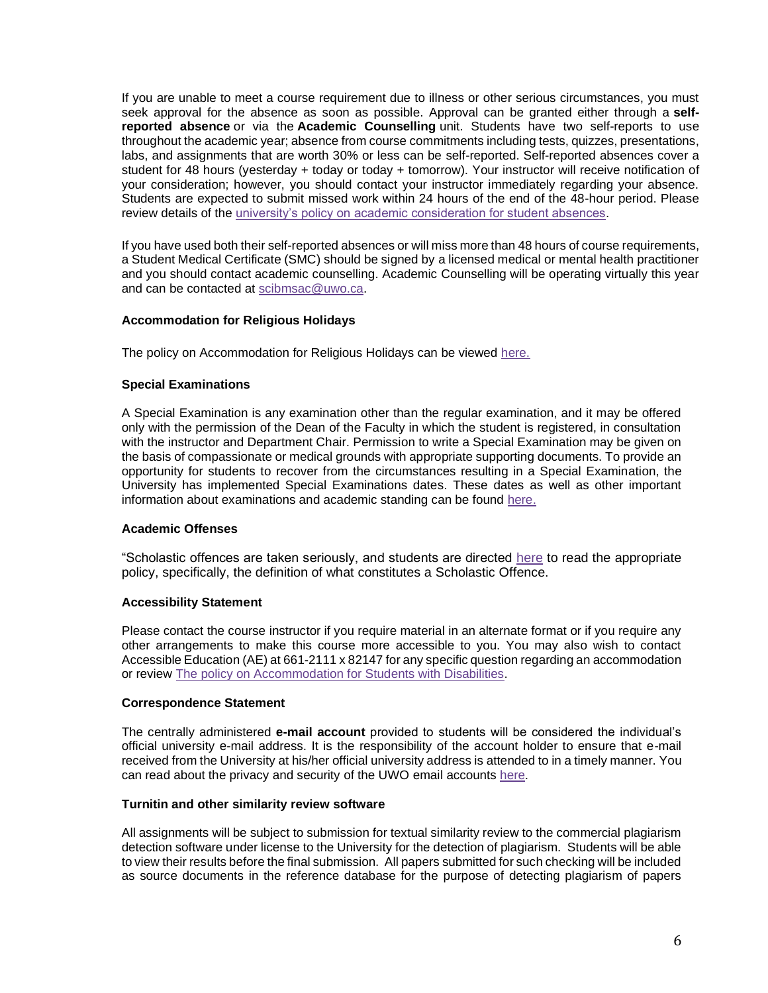If you are unable to meet a course requirement due to illness or other serious circumstances, you must seek approval for the absence as soon as possible. Approval can be granted either through a **selfreported absence** or via the **Academic Counselling** unit. Students have two self-reports to use throughout the academic year; absence from course commitments including tests, quizzes, presentations, labs, and assignments that are worth 30% or less can be self-reported. Self-reported absences cover a student for 48 hours (yesterday + today or today + tomorrow). Your instructor will receive notification of your consideration; however, you should contact your instructor immediately regarding your absence. Students are expected to submit missed work within 24 hours of the end of the 48-hour period. Please review details of the [university's policy on academic consideration for student absences.](https://www.uwo.ca/univsec/pdf/academic_policies/appeals/Academic_Consideration_for_absences.pdf)

If you have used both their self-reported absences or will miss more than 48 hours of course requirements, a Student Medical Certificate (SMC) should be signed by a licensed medical or mental health practitioner and you should contact academic counselling. Academic Counselling will be operating virtually this year and can be contacted at [scibmsac@uwo.ca.](mailto:scibmsac@uwo.ca)

### **Accommodation for Religious Holidays**

The policy on Accommodation for Religious Holidays can be viewed [here.](https://www.uwo.ca/univsec/pdf/academic_policies/appeals/accommodation_religious.pdf)

#### **Special Examinations**

A Special Examination is any examination other than the regular examination, and it may be offered only with the permission of the Dean of the Faculty in which the student is registered, in consultation with the instructor and Department Chair. Permission to write a Special Examination may be given on the basis of compassionate or medical grounds with appropriate supporting documents. To provide an opportunity for students to recover from the circumstances resulting in a Special Examination, the University has implemented Special Examinations dates. These dates as well as other important information about examinations and academic standing can be found [here.](http://www.uwo.ca/univsec/pdf/academic_policies/exam/definitions.pdf)

#### **Academic Offenses**

"Scholastic offences are taken seriously, and students are directed [here](http://www.uwo.ca/univsec/pdf/academic_policies/appeals/scholastic_discipline_undergrad.pdf) to read the appropriate policy, specifically, the definition of what constitutes a Scholastic Offence.

#### **Accessibility Statement**

Please contact the course instructor if you require material in an alternate format or if you require any other arrangements to make this course more accessible to you. You may also wish to contact Accessible Education (AE) at 661-2111 x 82147 for any specific question regarding an accommodation or review [The policy on Accommodation for Students with Disabilities.](https://www.uwo.ca/univsec/pdf/academic_policies/appeals/Academic%20Accommodation_disabilities.pdf)

#### **Correspondence Statement**

The centrally administered **e-mail account** provided to students will be considered the individual's official university e-mail address. It is the responsibility of the account holder to ensure that e-mail received from the University at his/her official university address is attended to in a timely manner. You can read about the privacy and security of the UWO email accounts [here.](https://www.uwo.ca/univsec/privacy/faq.html#ShouldIUse)

#### **Turnitin and other similarity review software**

All assignments will be subject to submission for textual similarity review to the commercial plagiarism detection software under license to the University for the detection of plagiarism. Students will be able to view their results before the final submission. All papers submitted for such checking will be included as source documents in the reference database for the purpose of detecting plagiarism of papers